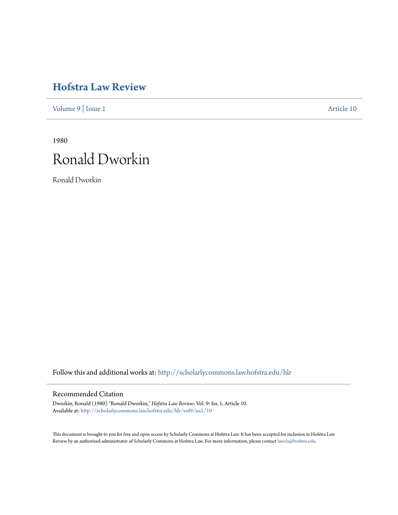## **[Hofstra Law Review](http://scholarlycommons.law.hofstra.edu/hlr?utm_source=scholarlycommons.law.hofstra.edu%2Fhlr%2Fvol9%2Fiss1%2F10&utm_medium=PDF&utm_campaign=PDFCoverPages)**

[Volume 9](http://scholarlycommons.law.hofstra.edu/hlr/vol9?utm_source=scholarlycommons.law.hofstra.edu%2Fhlr%2Fvol9%2Fiss1%2F10&utm_medium=PDF&utm_campaign=PDFCoverPages) | [Issue 1](http://scholarlycommons.law.hofstra.edu/hlr/vol9/iss1?utm_source=scholarlycommons.law.hofstra.edu%2Fhlr%2Fvol9%2Fiss1%2F10&utm_medium=PDF&utm_campaign=PDFCoverPages) [Article 10](http://scholarlycommons.law.hofstra.edu/hlr/vol9/iss1/10?utm_source=scholarlycommons.law.hofstra.edu%2Fhlr%2Fvol9%2Fiss1%2F10&utm_medium=PDF&utm_campaign=PDFCoverPages)

1980 Ronald Dworkin

Ronald Dworkin

Follow this and additional works at: [http://scholarlycommons.law.hofstra.edu/hlr](http://scholarlycommons.law.hofstra.edu/hlr?utm_source=scholarlycommons.law.hofstra.edu%2Fhlr%2Fvol9%2Fiss1%2F10&utm_medium=PDF&utm_campaign=PDFCoverPages)

## Recommended Citation

Dworkin, Ronald (1980) "Ronald Dworkin," *Hofstra Law Review*: Vol. 9: Iss. 1, Article 10. Available at: [http://scholarlycommons.law.hofstra.edu/hlr/vol9/iss1/10](http://scholarlycommons.law.hofstra.edu/hlr/vol9/iss1/10?utm_source=scholarlycommons.law.hofstra.edu%2Fhlr%2Fvol9%2Fiss1%2F10&utm_medium=PDF&utm_campaign=PDFCoverPages)

This document is brought to you for free and open access by Scholarly Commons at Hofstra Law. It has been accepted for inclusion in Hofstra Law Review by an authorized administrator of Scholarly Commons at Hofstra Law. For more information, please contact [lawcls@hofstra.edu](mailto:lawcls@hofstra.edu).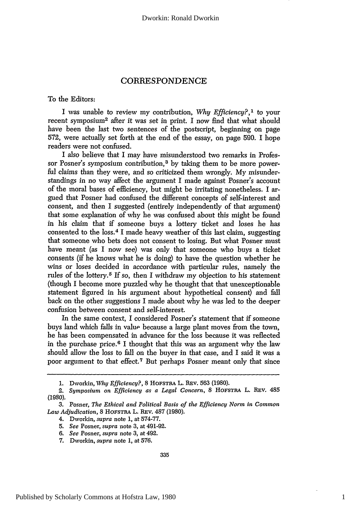## CORRESPONDENCE

To the Editors:

I was unable to review my contribution, *Why Efficiency?,1* to your recent symposium2 after it was set in print. I now find that what should have been the last two sentences of the postscript, beginning on page 572, were actually set forth at the end of the essay, on page 590. I hope readers were not confused.

I also believe that I may have misunderstood two remarks in Professor Posner's symposium contribution,<sup>3</sup> by taking them to be more powerful claims than they were, and so criticized them wrongly. My misunderstandings in no way affect the argument I made against Posner's account of the moral bases of efficiency, but might be irritating nonetheless. I argued that Posner had confused the different concepts of self-interest and consent, and then I suggested (entirely independently of that argument) that some explanation of why he was confused about this might be found in his claim that if someone buys a lottery ticket and loses he has consented to the loss.4 **I** made heavy weather of this last claim, suggesting that someone who bets does not consent to losing. But what Posner must have meant (as I now see) was only that someone who buys a ticket consents (if he knows what he is doing) to have the question whether he wins or loses decided in accordance with particular rules, namely the rules of the lottery.5 If so, then I withdraw my objection to his statement (though I become more puzzled why he thought that that unexceptionable statement figured in his argument about hypothetical consent) and fall back on the other suggestions I made about why he was led to the deeper confusion between consent and self-interest.

In the same context, I considered Posner's statement that if someone buys land which falls in value because a large plant moves from the town, he has been compensated in advance for the loss because it was reflected in the purchase price. $6$  I thought that this was an argument why the law should allow the loss to fall on the buyer in that case, and I said it was a poor argument to that effect.<sup>7</sup> But perhaps Posner meant only that since

<sup>1.</sup> Dworkin, *Why Efficiency?*, 8 HOFSTRA L. REV. 563 (1980).

<sup>2.</sup> *Symposium on Efficiency as a Legal Concern,* 8 HOFSTRA L. REV. 485 (1980).

**<sup>3.</sup>** Posner, *The Ethical and Political Basis of the Efficiency Norm in Common Law Adjudication,* 8 HOFSTRA L. REv. 487 (1980).

<sup>4.</sup> Dworkin, *supra* note 1, at 574-77.

*<sup>5.</sup> See* Posner, *supra* note 3, at 491-92.

*<sup>6.</sup> See* Posner, *supra* note 3, at 492.

<sup>7.</sup> Dworkin, *supra* note 1, at 576.